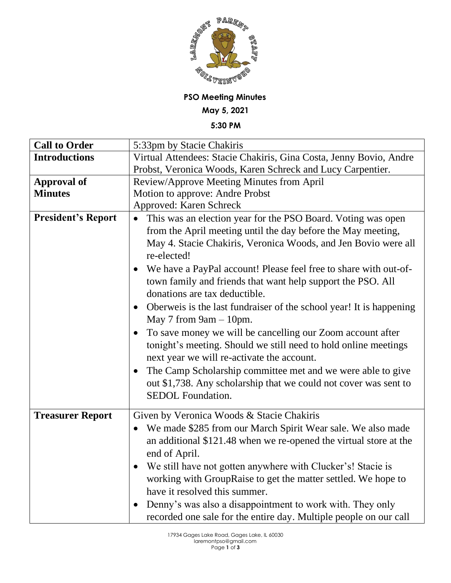

**PSO Meeting Minutes**

**May 5, 2021**

**5:30 PM**

| <b>Call to Order</b>      | 5:33pm by Stacie Chakiris                                                                                                                                                                      |
|---------------------------|------------------------------------------------------------------------------------------------------------------------------------------------------------------------------------------------|
| <b>Introductions</b>      | Virtual Attendees: Stacie Chakiris, Gina Costa, Jenny Bovio, Andre                                                                                                                             |
|                           | Probst, Veronica Woods, Karen Schreck and Lucy Carpentier.                                                                                                                                     |
| <b>Approval of</b>        | Review/Approve Meeting Minutes from April                                                                                                                                                      |
| <b>Minutes</b>            | Motion to approve: Andre Probst                                                                                                                                                                |
|                           | <b>Approved: Karen Schreck</b>                                                                                                                                                                 |
| <b>President's Report</b> | This was an election year for the PSO Board. Voting was open<br>from the April meeting until the day before the May meeting,<br>May 4. Stacie Chakiris, Veronica Woods, and Jen Bovio were all |
|                           | re-elected!                                                                                                                                                                                    |
|                           | We have a PayPal account! Please feel free to share with out-of-<br>town family and friends that want help support the PSO. All<br>donations are tax deductible.                               |
|                           | Oberweis is the last fundraiser of the school year! It is happening<br>$\bullet$<br>May 7 from $9am - 10pm$ .                                                                                  |
|                           | To save money we will be cancelling our Zoom account after<br>$\bullet$<br>tonight's meeting. Should we still need to hold online meetings<br>next year we will re-activate the account.       |
|                           | The Camp Scholarship committee met and we were able to give<br>out \$1,738. Any scholarship that we could not cover was sent to<br><b>SEDOL</b> Foundation.                                    |
| <b>Treasurer Report</b>   | Given by Veronica Woods & Stacie Chakiris                                                                                                                                                      |
|                           | We made \$285 from our March Spirit Wear sale. We also made<br>$\bullet$<br>an additional \$121.48 when we re-opened the virtual store at the<br>end of April.                                 |
|                           | We still have not gotten anywhere with Clucker's! Stacie is<br>$\bullet$<br>working with GroupRaise to get the matter settled. We hope to<br>have it resolved this summer.                     |
|                           | Denny's was also a disappointment to work with. They only<br>recorded one sale for the entire day. Multiple people on our call                                                                 |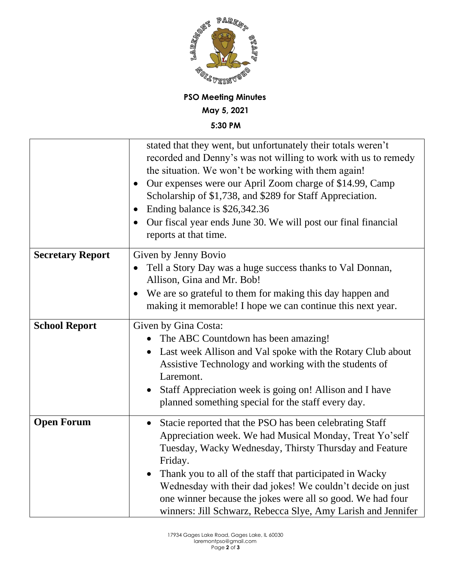

## **PSO Meeting Minutes May 5, 2021 5:30 PM**